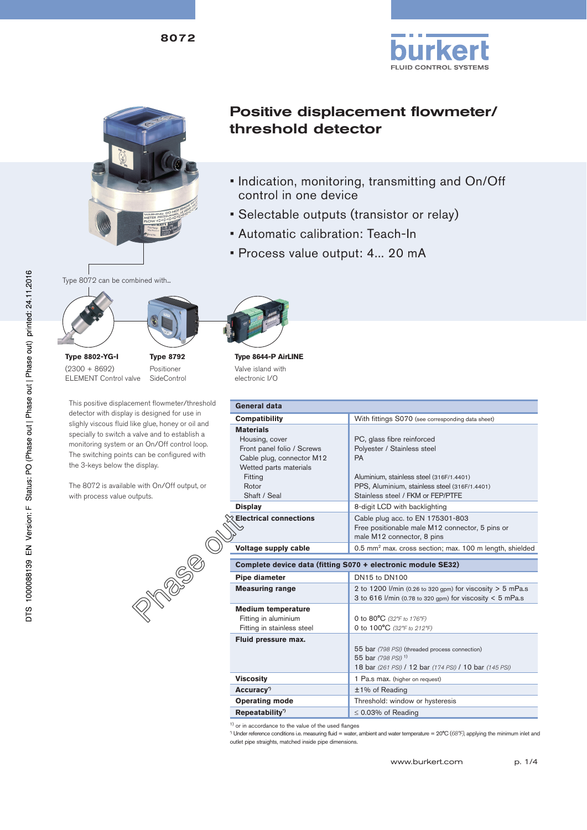8072



# Positive displacement flowmeter/ threshold detector

FLUID CONTROL SYSTEMS

- Indication, monitoring, transmitting and On/Off control in one device
- Selectable outputs (transistor or relay)
- Automatic calibration: Teach-In
- Process value output: 4... 20 mA



Type 8072 can be combined with...



**Type 8802-YG-I** (2300 + 8692) ELEMENT Control valve **Type 8792** Positioner **SideControl** 

This positive displacement flowmeter/threshold detector with display is designed for use in slighly viscous fluid like glue, honey or oil and specially to switch a valve and to establish a monitoring system or an On/Off control loop. The switching points can be configured with the 3-keys below the display.

The 8072 is available with On/Off output, or with process value outputs.





**Type 8644-P AirLINE** Valve island with electronic I/O

| General data                                                                                                                                                |                                                                                                                                                                                                   |  |  |  |
|-------------------------------------------------------------------------------------------------------------------------------------------------------------|---------------------------------------------------------------------------------------------------------------------------------------------------------------------------------------------------|--|--|--|
| Compatibility                                                                                                                                               | With fittings S070 (see corresponding data sheet)                                                                                                                                                 |  |  |  |
| <b>Materials</b><br>Housing, cover<br>Front panel folio / Screws<br>Cable plug, connector M12<br>Wetted parts materials<br>Fitting<br>Rotor<br>Shaft / Seal | PC, glass fibre reinforced<br>Polyester / Stainless steel<br>PA<br>Aluminium, stainless steel (316F/1.4401)<br>PPS, Aluminium, stainless steel (316F/1.4401)<br>Stainless steel / FKM or FEP/PTFE |  |  |  |
| <b>Display</b>                                                                                                                                              | 8-digit LCD with backlighting                                                                                                                                                                     |  |  |  |
| <b>Electrical connections</b>                                                                                                                               | Cable plug acc. to EN 175301-803<br>Free positionable male M12 connector, 5 pins or<br>male M12 connector, 8 pins                                                                                 |  |  |  |
| Voltage supply cable                                                                                                                                        | 0.5 mm <sup>2</sup> max. cross section; max. 100 m length, shielded                                                                                                                               |  |  |  |
| Complete device data (fitting S070 + electronic module SE32)                                                                                                |                                                                                                                                                                                                   |  |  |  |
| Pipe diameter                                                                                                                                               | DN15 to DN100                                                                                                                                                                                     |  |  |  |
| <b>Measuring range</b>                                                                                                                                      | 2 to 1200 l/min (0.26 to 320 gpm) for viscosity $>$ 5 mPa.s<br>3 to 616 l/min (0.78 to 320 gpm) for viscosity $<$ 5 mPa.s                                                                         |  |  |  |
| <b>Medium temperature</b><br>Fitting in aluminium<br>Fitting in stainless steel                                                                             | 0 to 80°C (32°F to 176°F)<br>0 to 100°C (32°F to 212°F)                                                                                                                                           |  |  |  |
| Fluid pressure max.                                                                                                                                         | 55 bar (798 PSI) (threaded process connection)<br>55 bar (798 PSI) <sup>1)</sup><br>18 bar (261 PSI) / 12 bar (174 PSI) / 10 bar (145 PSI)                                                        |  |  |  |
| <b>Viscosity</b>                                                                                                                                            | 1 Pa.s max. (higher on request)                                                                                                                                                                   |  |  |  |
| Accuracy <sup>*</sup>                                                                                                                                       | ±1% of Reading                                                                                                                                                                                    |  |  |  |
| <b>Operating mode</b>                                                                                                                                       | Threshold: window or hysteresis                                                                                                                                                                   |  |  |  |
| Repeatability <sup>*</sup>                                                                                                                                  | $\leq$ 0.03% of Reading                                                                                                                                                                           |  |  |  |

 $1)$  or in accordance to the value of the used flanges

\*) Under reference conditions i.e. measuring fluid = water, ambient and water temperature = 20°C (*68°F)*, applying the minimum inlet and outlet pipe straights, matched inside pipe dimensions.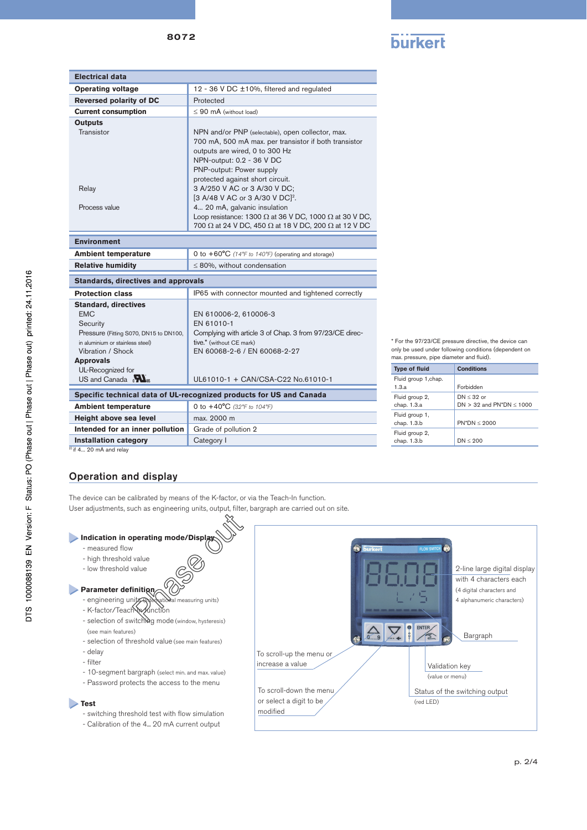

| <b>Electrical data</b>                                                                                                                                                       |                                                                                                                                                                                                                                                                                                                                                                                                                                                                                                               |  |  |  |  |
|------------------------------------------------------------------------------------------------------------------------------------------------------------------------------|---------------------------------------------------------------------------------------------------------------------------------------------------------------------------------------------------------------------------------------------------------------------------------------------------------------------------------------------------------------------------------------------------------------------------------------------------------------------------------------------------------------|--|--|--|--|
| <b>Operating voltage</b>                                                                                                                                                     | 12 - 36 V DC ±10%, filtered and regulated                                                                                                                                                                                                                                                                                                                                                                                                                                                                     |  |  |  |  |
| <b>Reversed polarity of DC</b>                                                                                                                                               | Protected                                                                                                                                                                                                                                                                                                                                                                                                                                                                                                     |  |  |  |  |
| <b>Current consumption</b>                                                                                                                                                   | $\leq 90$ mA (without load)                                                                                                                                                                                                                                                                                                                                                                                                                                                                                   |  |  |  |  |
| <b>Outputs</b><br>Transistor<br>Relay<br>Process value                                                                                                                       | NPN and/or PNP (selectable), open collector, max.<br>700 mA, 500 mA max. per transistor if both transistor<br>outputs are wired, 0 to 300 Hz<br>NPN-output: 0.2 - 36 V DC<br>PNP-output: Power supply<br>protected against short circuit.<br>3 A/250 V AC or 3 A/30 V DC;<br>[3 A/48 V AC or 3 A/30 V DC] <sup>2</sup> .<br>4 20 mA, galvanic insulation<br>Loop resistance: 1300 $\Omega$ at 36 V DC, 1000 $\Omega$ at 30 V DC,<br>700 $\Omega$ at 24 V DC, 450 $\Omega$ at 18 V DC, 200 $\Omega$ at 12 V DC |  |  |  |  |
| <b>Environment</b>                                                                                                                                                           |                                                                                                                                                                                                                                                                                                                                                                                                                                                                                                               |  |  |  |  |
| <b>Ambient temperature</b>                                                                                                                                                   | 0 to $+60^{\circ}$ C (14°F to 140°F) (operating and storage)                                                                                                                                                                                                                                                                                                                                                                                                                                                  |  |  |  |  |
| <b>Relative humidity</b>                                                                                                                                                     | $\leq$ 80%, without condensation                                                                                                                                                                                                                                                                                                                                                                                                                                                                              |  |  |  |  |
| <b>Standards, directives and approvals</b>                                                                                                                                   |                                                                                                                                                                                                                                                                                                                                                                                                                                                                                                               |  |  |  |  |
| <b>Protection class</b>                                                                                                                                                      | IP65 with connector mounted and tightened correctly                                                                                                                                                                                                                                                                                                                                                                                                                                                           |  |  |  |  |
| <b>Standard, directives</b><br><b>EMC</b><br>Security<br>Pressure (Fitting S070, DN15 to DN100,<br>in aluminium or stainless steel)<br>Vibration / Shock<br><b>Approvals</b> | EN 610006-2, 610006-3<br>FN 61010-1<br>Complying with article 3 of Chap. 3 from 97/23/CE direc-<br>tive.* (without CE mark)<br>EN 60068-2-6 / EN 60068-2-27                                                                                                                                                                                                                                                                                                                                                   |  |  |  |  |

**Approvals** UL-Recognized for US and Canada **No.** UL61010-1 + CAN/CSA-C22 No.61010-1 **Specific technical data of UL-recognized products for US and Canada Ambient temperature** 0 to +40°C *(32°F to 104°F)* **Height above sea level** max. 2000 m **Intended for an inner pollution** Grade of pollution 2 **Installation category** Category I

\* For the 97/23/CE pressure directive, the device can only be used under following conditions (dependent on max. pressure, pipe diameter and fluid).

| <b>Type of fluid</b>          | Conditions                                 |
|-------------------------------|--------------------------------------------|
| Fluid group 1, chap.<br>1.3a  | Forbidden                                  |
| Fluid group 2,<br>chap. 1.3.a | $DN < 32$ or<br>DN $>$ 32 and PN*DN < 1000 |
| Fluid group 1,<br>chap. 1.3.b | $PN^*DN < 2000$                            |
| Fluid group 2,<br>chap. 1.3.b | DN < 200                                   |

 $2)$  if 4... 20 mA and relay

## Operation and display

The device can be calibrated by means of the K-factor, or via the Teach-In function. User adjustments, such as engineering units, output, filter, bargraph are carried out on site.



DTS 1000088139 EN Version: F Status: PO (Phase out | Phase out | Phase out) printed: 24.11.2016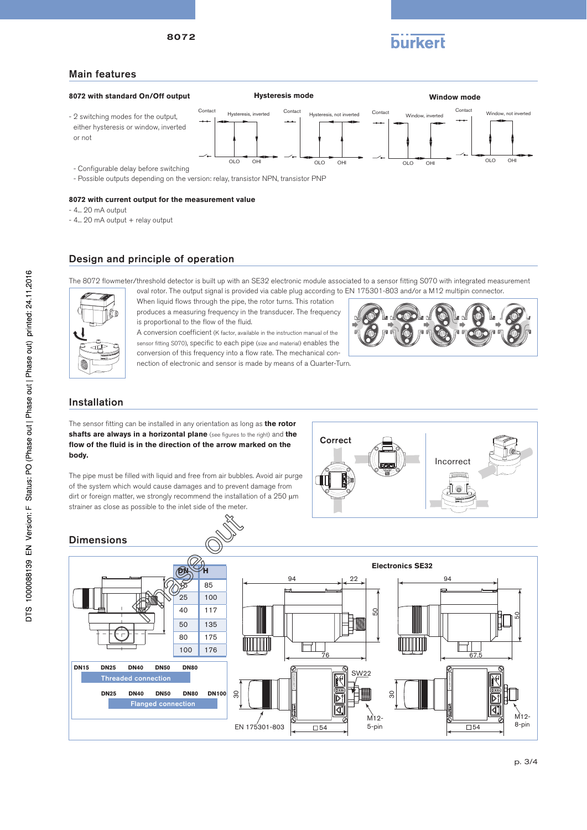# burkert

## Main features

#### **8072 with standard On/Off output**



**Hysteresis mode**

- Possible outputs depending on the version: relay, transistor NPN, transistor PNP

#### **8072 with current output for the measurement value**

- 4... 20 mA output

or not

- 4... 20 mA output + relay output

### Design and principle of operation

The 8072 flowmeter/threshold detector is built up with an SE32 electronic module associated to a sensor fitting S070 with integrated measurement



oval rotor. The output signal is provided via cable plug according to EN 175301-803 and/or a M12 multipin connector. When liquid flows through the pipe, the rotor turns. This rotation produces a measuring frequency in the transducer. The frequency is proportional to the flow of the fluid.

A conversion coefficient (K factor, available in the instruction manual of the sensor fitting S070), specific to each pipe (size and material) enables the conversion of this frequency into a flow rate. The mechanical connection of electronic and sensor is made by means of a Quarter-Turn.



## Installation

The sensor fitting can be installed in any orientation as long as **the rotor shafts are always in a horizontal plane** (see figures to the right) and **the flow of the fluid is in the direction of the arrow marked on the body.**

The pipe must be filled with liquid and free from air bubbles. Avoid air purge of the system which would cause damages and to prevent damage from dirt or foreign matter, we strongly recommend the installation of a  $250 \ \mu m$ strainer as close as possible to the inlet side of the meter.



### **Dimensions**